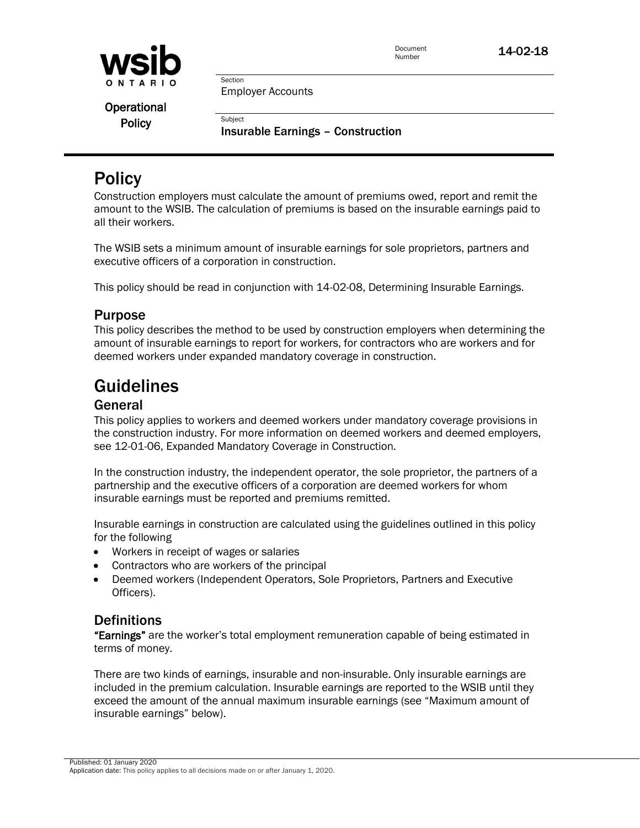

Employer Accounts

Section

**Subject** 

**Operational Policy** 

Insurable Earnings – Construction

# **Policy**

Construction employers must calculate the amount of premiums owed, report and remit the amount to the WSIB. The calculation of premiums is based on the insurable earnings paid to all their workers.

The WSIB sets a minimum amount of insurable earnings for sole proprietors, partners and executive officers of a corporation in construction.

This policy should be read in conjunction with 14-02-08, Determining Insurable Earnings.

## Purpose

This policy describes the method to be used by construction employers when determining the amount of insurable earnings to report for workers, for contractors who are workers and for deemed workers under expanded mandatory coverage in construction.

# Guidelines

## General

This policy applies to workers and deemed workers under mandatory coverage provisions in the construction industry. For more information on deemed workers and deemed employers, see 12-01-06, Expanded Mandatory Coverage in Construction.

In the construction industry, the independent operator, the sole proprietor, the partners of a partnership and the executive officers of a corporation are deemed workers for whom insurable earnings must be reported and premiums remitted.

Insurable earnings in construction are calculated using the guidelines outlined in this policy for the following

- Workers in receipt of wages or salaries
- Contractors who are workers of the principal
- Deemed workers (Independent Operators, Sole Proprietors, Partners and Executive Officers).

## **Definitions**

"Earnings" are the worker's total employment remuneration capable of being estimated in terms of money.

There are two kinds of earnings, insurable and non-insurable. Only insurable earnings are included in the premium calculation. Insurable earnings are reported to the WSIB until they exceed the amount of the annual maximum insurable earnings (see "Maximum amount of insurable earnings" below).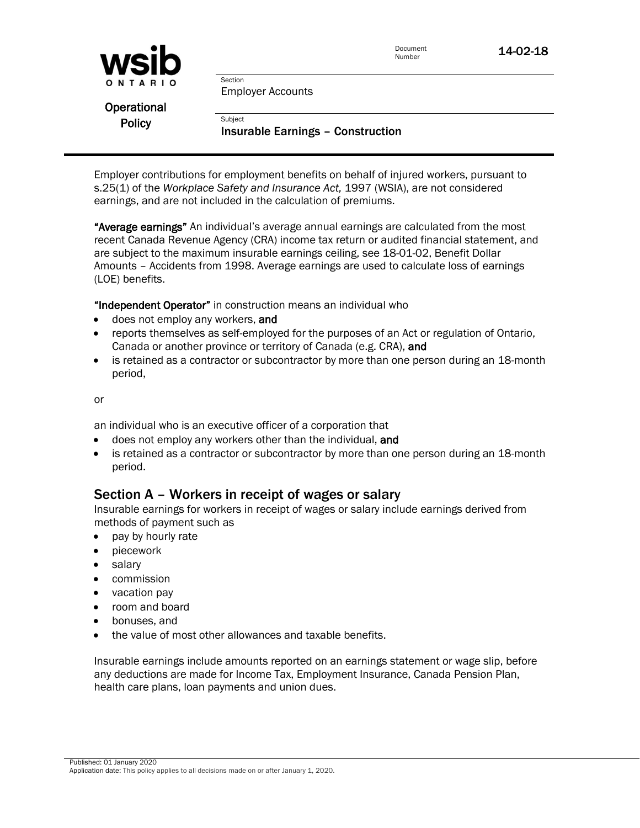

Employer Accounts

Section

**Subject** 

**Operational Policy** 

Insurable Earnings – Construction

Employer contributions for employment benefits on behalf of injured workers, pursuant to s.25(1) of the *Workplace Safety and Insurance Act,* 1997 (WSIA), are not considered earnings, and are not included in the calculation of premiums.

"Average earnings" An individual's average annual earnings are calculated from the most recent Canada Revenue Agency (CRA) income tax return or audited financial statement, and are subject to the maximum insurable earnings ceiling, see 18-01-02, Benefit Dollar Amounts – Accidents from 1998. Average earnings are used to calculate loss of earnings (LOE) benefits.

"Independent Operator" in construction means an individual who

- **o** does not employ any workers, and
- reports themselves as self-employed for the purposes of an Act or regulation of Ontario, Canada or another province or territory of Canada (e.g. CRA), and
- is retained as a contractor or subcontractor by more than one person during an 18-month period,

or

an individual who is an executive officer of a corporation that

- **o** does not employ any workers other than the individual, and
- is retained as a contractor or subcontractor by more than one person during an 18-month period.

## Section A – Workers in receipt of wages or salary

Insurable earnings for workers in receipt of wages or salary include earnings derived from methods of payment such as

- pay by hourly rate
- piecework
- salary
- **•** commission
- vacation pay
- room and board
- bonuses, and
- the value of most other allowances and taxable benefits.

Insurable earnings include amounts reported on an earnings statement or wage slip, before any deductions are made for Income Tax, Employment Insurance, Canada Pension Plan, health care plans, loan payments and union dues.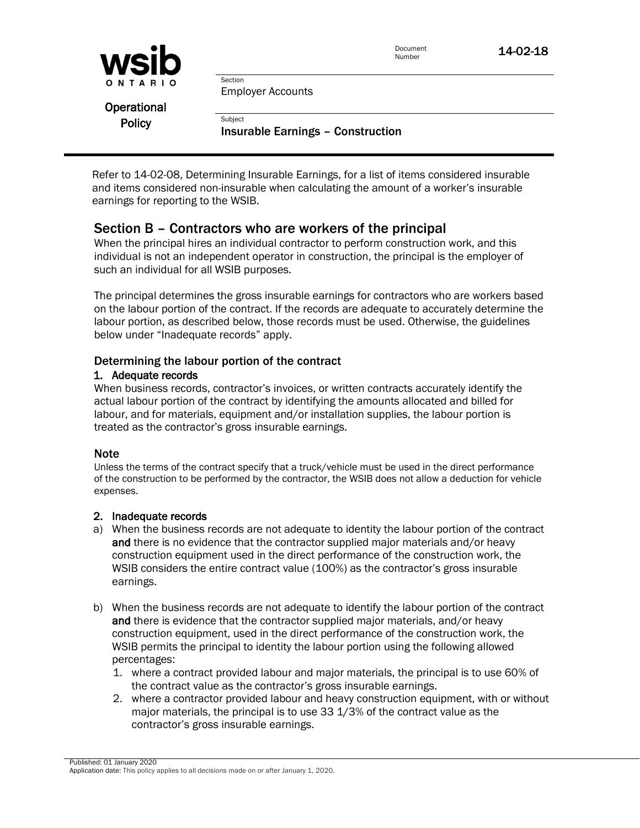| <b>WSID</b>   | Document<br>Number                                  | 14-02-18 |
|---------------|-----------------------------------------------------|----------|
| ONTARIO       | Section<br><b>Employer Accounts</b>                 |          |
| Operational   |                                                     |          |
| <b>Policy</b> | Subject<br><b>Insurable Earnings - Construction</b> |          |

Refer to 14-02-08, Determining Insurable Earnings, for a list of items considered insurable and items considered non-insurable when calculating the amount of a worker's insurable earnings for reporting to the WSIB.

## Section B – Contractors who are workers of the principal

When the principal hires an individual contractor to perform construction work, and this individual is not an independent operator in construction, the principal is the employer of such an individual for all WSIB purposes.

The principal determines the gross insurable earnings for contractors who are workers based on the labour portion of the contract. If the records are adequate to accurately determine the labour portion, as described below, those records must be used. Otherwise, the guidelines below under "Inadequate records" apply.

#### Determining the labour portion of the contract

#### 1. Adequate records

When business records, contractor's invoices, or written contracts accurately identify the actual labour portion of the contract by identifying the amounts allocated and billed for labour, and for materials, equipment and/or installation supplies, the labour portion is treated as the contractor's gross insurable earnings.

#### **Note**

Unless the terms of the contract specify that a truck/vehicle must be used in the direct performance of the construction to be performed by the contractor, the WSIB does not allow a deduction for vehicle expenses.

#### 2. Inadequate records

- a) When the business records are not adequate to identity the labour portion of the contract and there is no evidence that the contractor supplied major materials and/or heavy construction equipment used in the direct performance of the construction work, the WSIB considers the entire contract value (100%) as the contractor's gross insurable earnings.
- b) When the business records are not adequate to identify the labour portion of the contract and there is evidence that the contractor supplied major materials, and/or heavy construction equipment, used in the direct performance of the construction work, the WSIB permits the principal to identity the labour portion using the following allowed percentages:
	- 1. where a contract provided labour and major materials, the principal is to use 60% of the contract value as the contractor's gross insurable earnings.
	- 2. where a contractor provided labour and heavy construction equipment, with or without major materials, the principal is to use 33 1/3% of the contract value as the contractor's gross insurable earnings.

Published: 01 January 2020 Application date: This policy applies to all decisions made on or after January 1, 2020.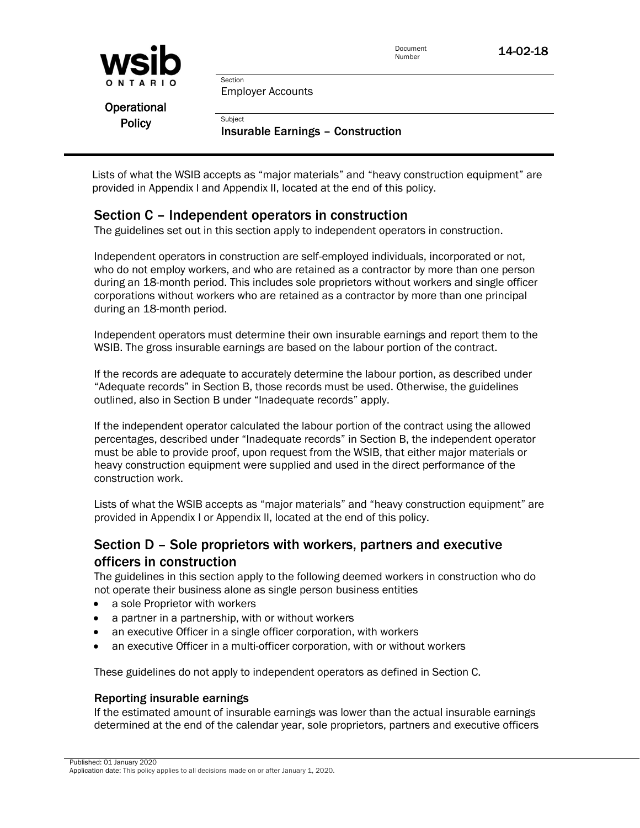| <b>WSID</b>   |                                                     | Document<br>Number | 14-02-18 |
|---------------|-----------------------------------------------------|--------------------|----------|
| ONTARIO       | Section<br><b>Employer Accounts</b>                 |                    |          |
| Operational   |                                                     |                    |          |
| <b>Policy</b> | Subject<br><b>Insurable Earnings - Construction</b> |                    |          |

Lists of what the WSIB accepts as "major materials" and "heavy construction equipment" are provided in Appendix I and Appendix II, located at the end of this policy.

## Section C – Independent operators in construction

The guidelines set out in this section apply to independent operators in construction.

Independent operators in construction are self-employed individuals, incorporated or not, who do not employ workers, and who are retained as a contractor by more than one person during an 18-month period. This includes sole proprietors without workers and single officer corporations without workers who are retained as a contractor by more than one principal during an 18-month period.

Independent operators must determine their own insurable earnings and report them to the WSIB. The gross insurable earnings are based on the labour portion of the contract.

If the records are adequate to accurately determine the labour portion, as described under "Adequate records" in Section B, those records must be used. Otherwise, the guidelines outlined, also in Section B under "Inadequate records" apply.

If the independent operator calculated the labour portion of the contract using the allowed percentages, described under "Inadequate records" in Section B, the independent operator must be able to provide proof, upon request from the WSIB, that either major materials or heavy construction equipment were supplied and used in the direct performance of the construction work.

Lists of what the WSIB accepts as "major materials" and "heavy construction equipment" are provided in Appendix I or Appendix II, located at the end of this policy.

## Section D – Sole proprietors with workers, partners and executive officers in construction

The guidelines in this section apply to the following deemed workers in construction who do not operate their business alone as single person business entities

- a sole Proprietor with workers
- a partner in a partnership, with or without workers
- an executive Officer in a single officer corporation, with workers
- an executive Officer in a multi-officer corporation, with or without workers

These guidelines do not apply to independent operators as defined in Section C.

## Reporting insurable earnings

If the estimated amount of insurable earnings was lower than the actual insurable earnings determined at the end of the calendar year, sole proprietors, partners and executive officers

Published: 01 January 2020 Application date: This policy applies to all decisions made on or after January 1, 2020.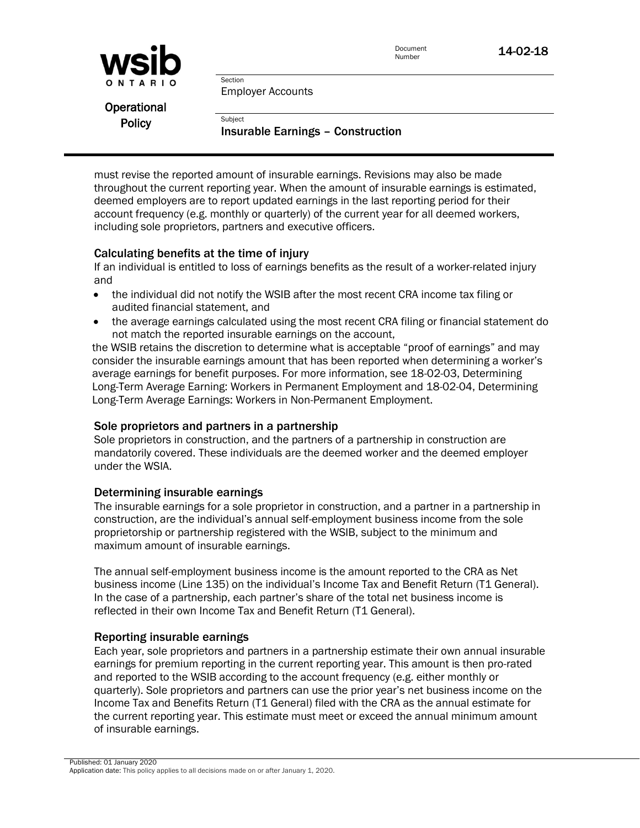

Document **14-02-18** 

Employer Accounts

Section

**Subject** 

**Operational Policy** 

Insurable Earnings – Construction

must revise the reported amount of insurable earnings. Revisions may also be made throughout the current reporting year. When the amount of insurable earnings is estimated, deemed employers are to report updated earnings in the last reporting period for their account frequency (e.g. monthly or quarterly) of the current year for all deemed workers, including sole proprietors, partners and executive officers.

#### Calculating benefits at the time of injury

If an individual is entitled to loss of earnings benefits as the result of a worker-related injury and

- the individual did not notify the WSIB after the most recent CRA income tax filing or audited financial statement, and
- the average earnings calculated using the most recent CRA filing or financial statement do not match the reported insurable earnings on the account,

the WSIB retains the discretion to determine what is acceptable "proof of earnings" and may consider the insurable earnings amount that has been reported when determining a worker's average earnings for benefit purposes. For more information, see 18-02-03, Determining Long-Term Average Earning: Workers in Permanent Employment and 18-02-04, Determining Long-Term Average Earnings: Workers in Non-Permanent Employment.

#### Sole proprietors and partners in a partnership

Sole proprietors in construction, and the partners of a partnership in construction are mandatorily covered. These individuals are the deemed worker and the deemed employer under the WSIA.

#### Determining insurable earnings

The insurable earnings for a sole proprietor in construction, and a partner in a partnership in construction, are the individual's annual self-employment business income from the sole proprietorship or partnership registered with the WSIB, subject to the minimum and maximum amount of insurable earnings.

The annual self-employment business income is the amount reported to the CRA as Net business income (Line 135) on the individual's Income Tax and Benefit Return (T1 General). In the case of a partnership, each partner's share of the total net business income is reflected in their own Income Tax and Benefit Return (T1 General).

#### Reporting insurable earnings

Each year, sole proprietors and partners in a partnership estimate their own annual insurable earnings for premium reporting in the current reporting year. This amount is then pro-rated and reported to the WSIB according to the account frequency (e.g. either monthly or quarterly). Sole proprietors and partners can use the prior year's net business income on the Income Tax and Benefits Return (T1 General) filed with the CRA as the annual estimate for the current reporting year. This estimate must meet or exceed the annual minimum amount of insurable earnings.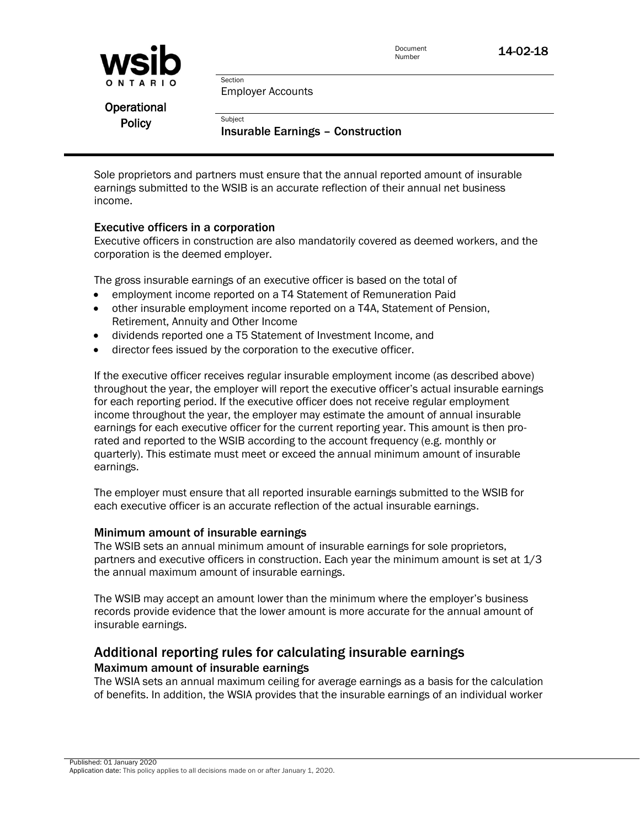

Document **14-02-18** 

Employer Accounts

Section

**Subject** 

**Operational Policy** 

Insurable Earnings – Construction

Sole proprietors and partners must ensure that the annual reported amount of insurable earnings submitted to the WSIB is an accurate reflection of their annual net business income.

#### Executive officers in a corporation

Executive officers in construction are also mandatorily covered as deemed workers, and the corporation is the deemed employer.

The gross insurable earnings of an executive officer is based on the total of

- employment income reported on a T4 Statement of Remuneration Paid
- other insurable employment income reported on a T4A, Statement of Pension, Retirement, Annuity and Other Income
- dividends reported one a T5 Statement of Investment Income, and
- director fees issued by the corporation to the executive officer.

If the executive officer receives regular insurable employment income (as described above) throughout the year, the employer will report the executive officer's actual insurable earnings for each reporting period. If the executive officer does not receive regular employment income throughout the year, the employer may estimate the amount of annual insurable earnings for each executive officer for the current reporting year. This amount is then prorated and reported to the WSIB according to the account frequency (e.g. monthly or quarterly). This estimate must meet or exceed the annual minimum amount of insurable earnings.

The employer must ensure that all reported insurable earnings submitted to the WSIB for each executive officer is an accurate reflection of the actual insurable earnings.

#### Minimum amount of insurable earnings

The WSIB sets an annual minimum amount of insurable earnings for sole proprietors, partners and executive officers in construction. Each year the minimum amount is set at 1/3 the annual maximum amount of insurable earnings.

The WSIB may accept an amount lower than the minimum where the employer's business records provide evidence that the lower amount is more accurate for the annual amount of insurable earnings.

### Additional reporting rules for calculating insurable earnings Maximum amount of insurable earnings

The WSIA sets an annual maximum ceiling for average earnings as a basis for the calculation of benefits. In addition, the WSIA provides that the insurable earnings of an individual worker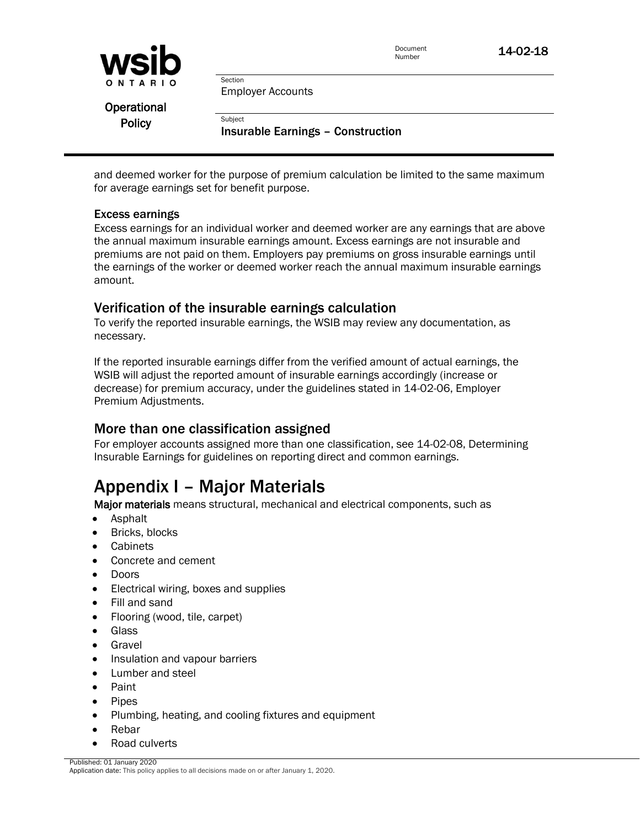

Employer Accounts

Section

**Subject** 

**Operational Policy** 

Insurable Earnings – Construction

and deemed worker for the purpose of premium calculation be limited to the same maximum for average earnings set for benefit purpose.

#### Excess earnings

Excess earnings for an individual worker and deemed worker are any earnings that are above the annual maximum insurable earnings amount. Excess earnings are not insurable and premiums are not paid on them. Employers pay premiums on gross insurable earnings until the earnings of the worker or deemed worker reach the annual maximum insurable earnings amount.

### Verification of the insurable earnings calculation

To verify the reported insurable earnings, the WSIB may review any documentation, as necessary.

If the reported insurable earnings differ from the verified amount of actual earnings, the WSIB will adjust the reported amount of insurable earnings accordingly (increase or decrease) for premium accuracy, under the guidelines stated in 14-02-06, Employer Premium Adjustments.

## More than one classification assigned

For employer accounts assigned more than one classification, see 14-02-08, Determining Insurable Earnings for guidelines on reporting direct and common earnings.

# Appendix I – Major Materials

Major materials means structural, mechanical and electrical components, such as

- Asphalt
- Bricks, blocks
- **Cabinets**
- Concrete and cement
- Doors
- Electrical wiring, boxes and supplies
- Fill and sand
- Flooring (wood, tile, carpet)
- **•** Glass
- **•** Gravel
- Insulation and vapour barriers
- Lumber and steel
- Paint
- Pipes
- Plumbing, heating, and cooling fixtures and equipment
- Rebar
- Road culverts

Published: 01 January 2020

Application date: This policy applies to all decisions made on or after January 1, 2020.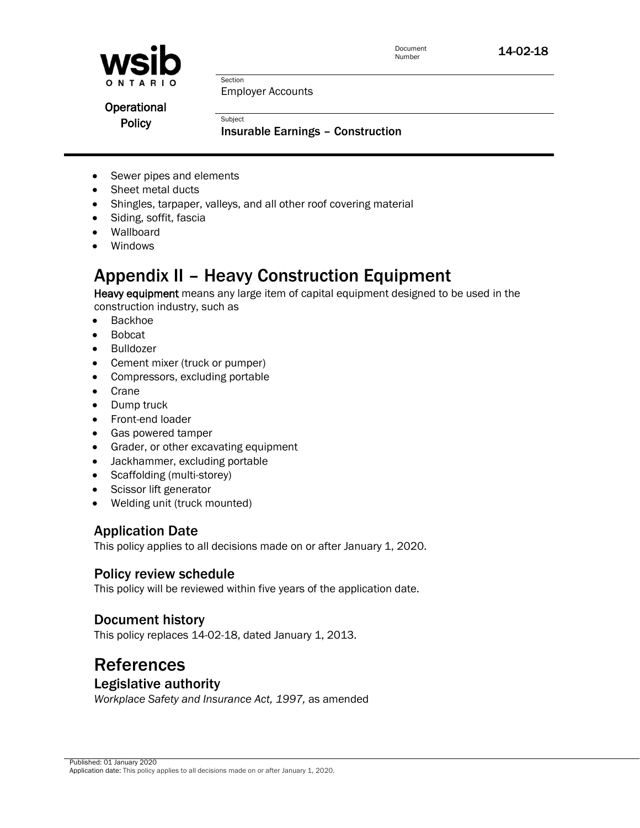

Employer Accounts

Section

Subject

**Operational Policy** 

Insurable Earnings – Construction

- Sewer pipes and elements
- Sheet metal ducts
- Shingles, tarpaper, valleys, and all other roof covering material
- Siding, soffit, fascia
- Wallboard
- Windows

# Appendix II – Heavy Construction Equipment

Heavy equipment means any large item of capital equipment designed to be used in the construction industry, such as

- Backhoe
- Bobcat
- Bulldozer
- Cement mixer (truck or pumper)
- Compressors, excluding portable
- Crane
- Dump truck
- Front-end loader
- Gas powered tamper
- Grader, or other excavating equipment
- Jackhammer, excluding portable
- Scaffolding (multi-storey)
- Scissor lift generator
- Welding unit (truck mounted)

## Application Date

This policy applies to all decisions made on or after January 1, 2020.

## Policy review schedule

This policy will be reviewed within five years of the application date.

## Document history

This policy replaces 14-02-18, dated January 1, 2013.

## **References** Legislative authority

*Workplace Safety and Insurance Act, 1997,* as amended